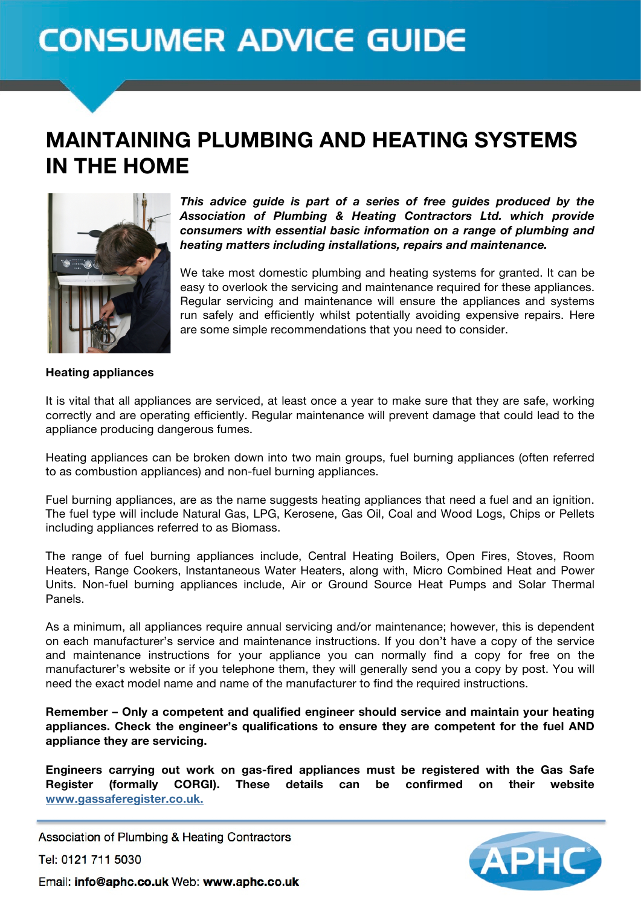# **CONSUMER ADVICE GUIDE**

## MAINTAINING PLUMBING AND HEATING SYSTEMS IN THE HOME



*This advice guide is part of a series of free guides produced by the Association of Plumbing & Heating Contractors Ltd. which provide consumers with essential basic information on a range of plumbing and heating matters including installations, repairs and maintenance.* 

We take most domestic plumbing and heating systems for granted. It can be easy to overlook the servicing and maintenance required for these appliances. Regular servicing and maintenance will ensure the appliances and systems run safely and efficiently whilst potentially avoiding expensive repairs. Here are some simple recommendations that you need to consider.

#### **Heating appliances**

It is vital that all appliances are serviced, at least once a year to make sure that they are safe, working correctly and are operating efficiently. Regular maintenance will prevent damage that could lead to the appliance producing dangerous fumes.

Heating appliances can be broken down into two main groups, fuel burning appliances (often referred to as combustion appliances) and non-fuel burning appliances.

Fuel burning appliances, are as the name suggests heating appliances that need a fuel and an ignition. The fuel type will include Natural Gas, LPG, Kerosene, Gas Oil, Coal and Wood Logs, Chips or Pellets including appliances referred to as Biomass.

The range of fuel burning appliances include, Central Heating Boilers, Open Fires, Stoves, Room Heaters, Range Cookers, Instantaneous Water Heaters, along with, Micro Combined Heat and Power Units. Non-fuel burning appliances include, Air or Ground Source Heat Pumps and Solar Thermal Panels.

As a minimum, all appliances require annual servicing and/or maintenance; however, this is dependent on each manufacturer's service and maintenance instructions. If you don't have a copy of the service and maintenance instructions for your appliance you can normally find a copy for free on the manufacturer's website or if you telephone them, they will generally send you a copy by post. You will need the exact model name and name of the manufacturer to find the required instructions.

**Remember – Only a competent and qualified engineer should service and maintain your heating appliances. Check the engineer's qualifications to ensure they are competent for the fuel AND appliance they are servicing.** 

**Engineers carrying out work on gas-fired appliances must be registered with the Gas Safe Register (formally CORGI). These details can be confirmed on their website www.gassaferegister.co.uk.**

Association of Plumbing & Heating Contractors

Tel: 0121 711 5030



Email: info@aphc.co.uk Web: www.aphc.co.uk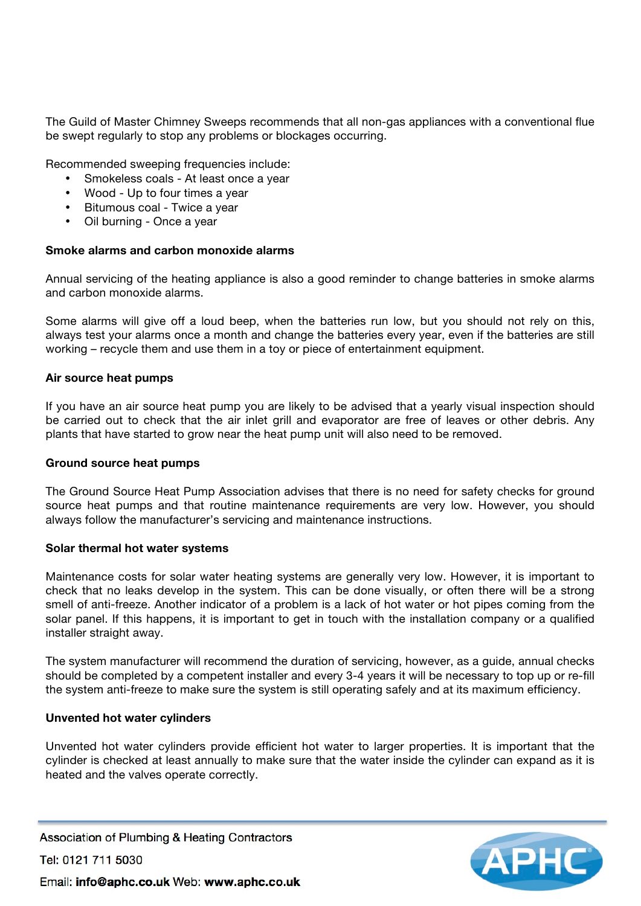The Guild of Master Chimney Sweeps recommends that all non-gas appliances with a conventional flue be swept regularly to stop any problems or blockages occurring.

Recommended sweeping frequencies include:

- Smokeless coals At least once a year
- Wood Up to four times a year
- Bitumous coal Twice a year
- Oil burning Once a year

#### **Smoke alarms and carbon monoxide alarms**

Annual servicing of the heating appliance is also a good reminder to change batteries in smoke alarms and carbon monoxide alarms.

Some alarms will give off a loud beep, when the batteries run low, but you should not rely on this, always test your alarms once a month and change the batteries every year, even if the batteries are still working – recycle them and use them in a toy or piece of entertainment equipment.

#### **Air source heat pumps**

If you have an air source heat pump you are likely to be advised that a yearly visual inspection should be carried out to check that the air inlet grill and evaporator are free of leaves or other debris. Any plants that have started to grow near the heat pump unit will also need to be removed.

#### **Ground source heat pumps**

The Ground Source Heat Pump Association advises that there is no need for safety checks for ground source heat pumps and that routine maintenance requirements are very low. However, you should always follow the manufacturer's servicing and maintenance instructions.

#### **Solar thermal hot water systems**

Maintenance costs for solar water heating systems are generally very low. However, it is important to check that no leaks develop in the system. This can be done visually, or often there will be a strong smell of anti-freeze. Another indicator of a problem is a lack of hot water or hot pipes coming from the solar panel. If this happens, it is important to get in touch with the installation company or a qualified installer straight away.

The system manufacturer will recommend the duration of servicing, however, as a guide, annual checks should be completed by a competent installer and every 3-4 years it will be necessary to top up or re-fill the system anti-freeze to make sure the system is still operating safely and at its maximum efficiency.

#### **Unvented hot water cylinders**

Unvented hot water cylinders provide efficient hot water to larger properties. It is important that the cylinder is checked at least annually to make sure that the water inside the cylinder can expand as it is heated and the valves operate correctly.

Association of Plumbing & Heating Contractors Tel: 0121 711 5030 Email: info@aphc.co.uk Web: www.aphc.co.uk